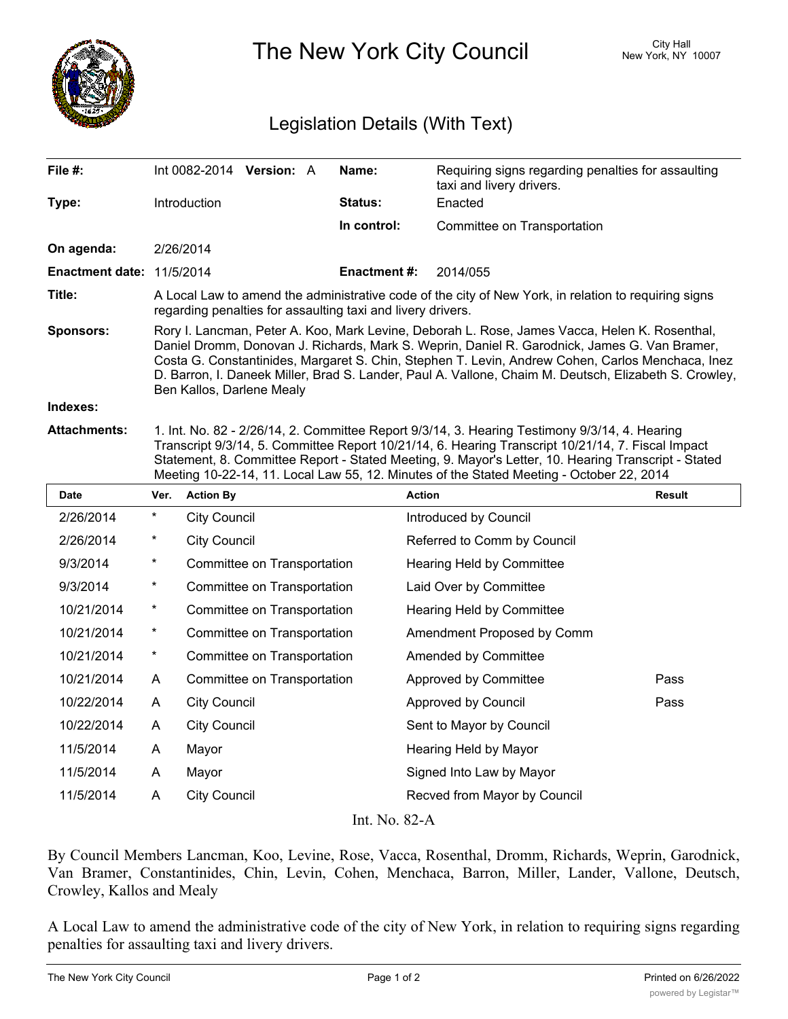

The New York City Council New York, NY 10007

## Legislation Details (With Text)

| File $#$ :                | Int 0082-2014 Version: A                                                                                                                                                                                                                                                                                                                                                                                                                |  |  | Name:               | Requiring signs regarding penalties for assaulting<br>taxi and livery drivers. |  |  |
|---------------------------|-----------------------------------------------------------------------------------------------------------------------------------------------------------------------------------------------------------------------------------------------------------------------------------------------------------------------------------------------------------------------------------------------------------------------------------------|--|--|---------------------|--------------------------------------------------------------------------------|--|--|
| Type:                     | Introduction                                                                                                                                                                                                                                                                                                                                                                                                                            |  |  | <b>Status:</b>      | Enacted                                                                        |  |  |
|                           |                                                                                                                                                                                                                                                                                                                                                                                                                                         |  |  | In control:         | Committee on Transportation                                                    |  |  |
| On agenda:                | 2/26/2014                                                                                                                                                                                                                                                                                                                                                                                                                               |  |  |                     |                                                                                |  |  |
| Enactment date: 11/5/2014 |                                                                                                                                                                                                                                                                                                                                                                                                                                         |  |  | <b>Enactment #:</b> | 2014/055                                                                       |  |  |
| Title:                    | A Local Law to amend the administrative code of the city of New York, in relation to requiring signs<br>regarding penalties for assaulting taxi and livery drivers.                                                                                                                                                                                                                                                                     |  |  |                     |                                                                                |  |  |
| <b>Sponsors:</b>          | Rory I. Lancman, Peter A. Koo, Mark Levine, Deborah L. Rose, James Vacca, Helen K. Rosenthal,<br>Daniel Dromm, Donovan J. Richards, Mark S. Weprin, Daniel R. Garodnick, James G. Van Bramer,<br>Costa G. Constantinides, Margaret S. Chin, Stephen T. Levin, Andrew Cohen, Carlos Menchaca, Inez<br>D. Barron, I. Daneek Miller, Brad S. Lander, Paul A. Vallone, Chaim M. Deutsch, Elizabeth S. Crowley,<br>Ben Kallos, Darlene Mealy |  |  |                     |                                                                                |  |  |
| Indexes:                  |                                                                                                                                                                                                                                                                                                                                                                                                                                         |  |  |                     |                                                                                |  |  |
| <b>Attachments:</b>       | 1. Int. No. 82 - 2/26/14, 2. Committee Report 9/3/14, 3. Hearing Testimony 9/3/14, 4. Hearing<br>Transcript 9/3/14, 5. Committee Report 10/21/14, 6. Hearing Transcript 10/21/14, 7. Fiscal Impact<br>Statement, 8. Committee Report - Stated Meeting, 9. Mayor's Letter, 10. Hearing Transcript - Stated<br>Meeting 10-22-14, 11. Local Law 55, 12. Minutes of the Stated Meeting - October 22, 2014                                   |  |  |                     |                                                                                |  |  |

| <b>Date</b> | Ver.     | <b>Action By</b>            | <b>Action</b>                | <b>Result</b> |
|-------------|----------|-----------------------------|------------------------------|---------------|
| 2/26/2014   | $^\star$ | <b>City Council</b>         | Introduced by Council        |               |
| 2/26/2014   | $^\ast$  | <b>City Council</b>         | Referred to Comm by Council  |               |
| 9/3/2014    | $^\ast$  | Committee on Transportation | Hearing Held by Committee    |               |
| 9/3/2014    | $^\ast$  | Committee on Transportation | Laid Over by Committee       |               |
| 10/21/2014  | $\star$  | Committee on Transportation | Hearing Held by Committee    |               |
| 10/21/2014  | $^\ast$  | Committee on Transportation | Amendment Proposed by Comm   |               |
| 10/21/2014  | $\star$  | Committee on Transportation | Amended by Committee         |               |
| 10/21/2014  | A        | Committee on Transportation | Approved by Committee        | Pass          |
| 10/22/2014  | A        | <b>City Council</b>         | Approved by Council          | Pass          |
| 10/22/2014  | A        | <b>City Council</b>         | Sent to Mayor by Council     |               |
| 11/5/2014   | A        | Mayor                       | Hearing Held by Mayor        |               |
| 11/5/2014   | A        | Mayor                       | Signed Into Law by Mayor     |               |
| 11/5/2014   | A        | <b>City Council</b>         | Recved from Mayor by Council |               |
|             |          | T. XT                       | $\bigcap$ $\bigcap$          |               |

Int. No. 82-A

By Council Members Lancman, Koo, Levine, Rose, Vacca, Rosenthal, Dromm, Richards, Weprin, Garodnick, Van Bramer, Constantinides, Chin, Levin, Cohen, Menchaca, Barron, Miller, Lander, Vallone, Deutsch, Crowley, Kallos and Mealy

A Local Law to amend the administrative code of the city of New York, in relation to requiring signs regarding penalties for assaulting taxi and livery drivers.